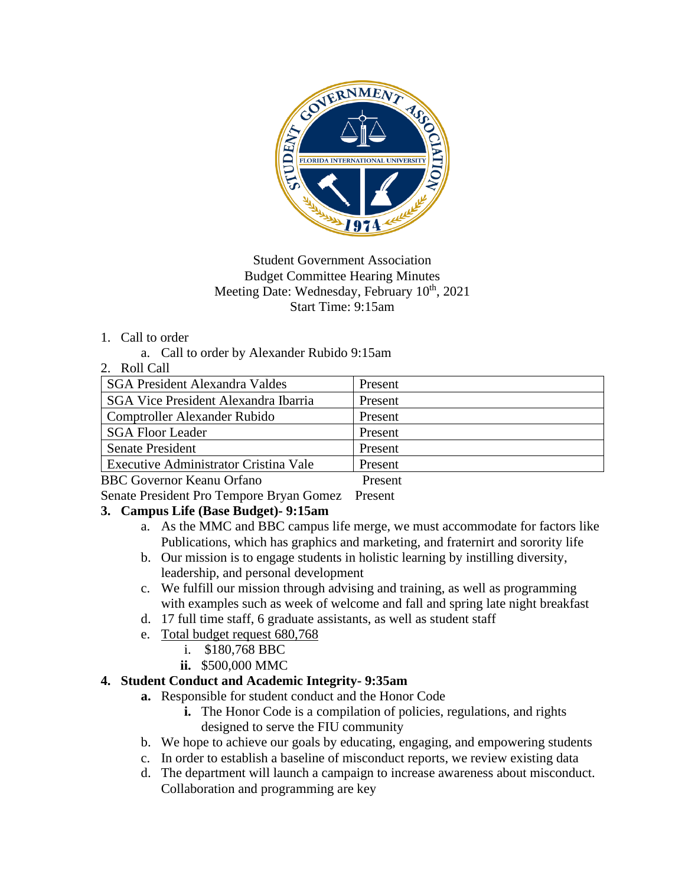

# Student Government Association Budget Committee Hearing Minutes Meeting Date: Wednesday, February 10<sup>th</sup>, 2021 Start Time: 9:15am

#### 1. Call to order

a. Call to order by Alexander Rubido 9:15am

#### 2. Roll Call

Senate President Pro Tempore Bryan Gomez Present

# **3. Campus Life (Base Budget)- 9:15am**

- a. As the MMC and BBC campus life merge, we must accommodate for factors like Publications, which has graphics and marketing, and fraternirt and sorority life
- b. Our mission is to engage students in holistic learning by instilling diversity, leadership, and personal development
- c. We fulfill our mission through advising and training, as well as programming with examples such as week of welcome and fall and spring late night breakfast
- d. 17 full time staff, 6 graduate assistants, as well as student staff
- e. Total budget request 680,768
	- i. \$180,768 BBC
	- **ii.** \$500,000 MMC

# **4. Student Conduct and Academic Integrity- 9:35am**

- **a.** Responsible for student conduct and the Honor Code
	- **i.** The Honor Code is a compilation of policies, regulations, and rights designed to serve the FIU community
- b. We hope to achieve our goals by educating, engaging, and empowering students
- c. In order to establish a baseline of misconduct reports, we review existing data
- d. The department will launch a campaign to increase awareness about misconduct. Collaboration and programming are key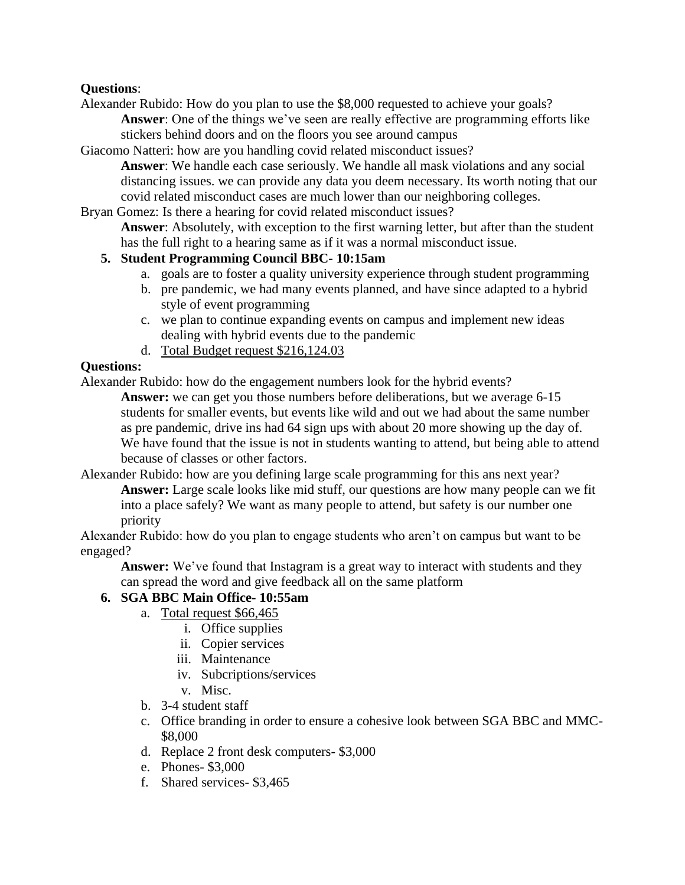# **Questions**:

Alexander Rubido: How do you plan to use the \$8,000 requested to achieve your goals?

**Answer**: One of the things we've seen are really effective are programming efforts like stickers behind doors and on the floors you see around campus

Giacomo Natteri: how are you handling covid related misconduct issues?

**Answer**: We handle each case seriously. We handle all mask violations and any social distancing issues. we can provide any data you deem necessary. Its worth noting that our covid related misconduct cases are much lower than our neighboring colleges.

Bryan Gomez: Is there a hearing for covid related misconduct issues?

**Answer**: Absolutely, with exception to the first warning letter, but after than the student has the full right to a hearing same as if it was a normal misconduct issue.

# **5. Student Programming Council BBC- 10:15am**

- a. goals are to foster a quality university experience through student programming
- b. pre pandemic, we had many events planned, and have since adapted to a hybrid style of event programming
- c. we plan to continue expanding events on campus and implement new ideas dealing with hybrid events due to the pandemic
- d. Total Budget request \$216,124.03

# **Questions:**

Alexander Rubido: how do the engagement numbers look for the hybrid events?

**Answer:** we can get you those numbers before deliberations, but we average 6-15 students for smaller events, but events like wild and out we had about the same number as pre pandemic, drive ins had 64 sign ups with about 20 more showing up the day of. We have found that the issue is not in students wanting to attend, but being able to attend because of classes or other factors.

Alexander Rubido: how are you defining large scale programming for this ans next year? **Answer:** Large scale looks like mid stuff, our questions are how many people can we fit into a place safely? We want as many people to attend, but safety is our number one priority

Alexander Rubido: how do you plan to engage students who aren't on campus but want to be engaged?

**Answer:** We've found that Instagram is a great way to interact with students and they can spread the word and give feedback all on the same platform

# **6. SGA BBC Main Office- 10:55am**

- a. Total request \$66,465
	- i. Office supplies
	- ii. Copier services
	- iii. Maintenance
	- iv. Subcriptions/services
	- v. Misc.
- b. 3-4 student staff
- c. Office branding in order to ensure a cohesive look between SGA BBC and MMC- \$8,000
- d. Replace 2 front desk computers- \$3,000
- e. Phones- \$3,000
- f. Shared services- \$3,465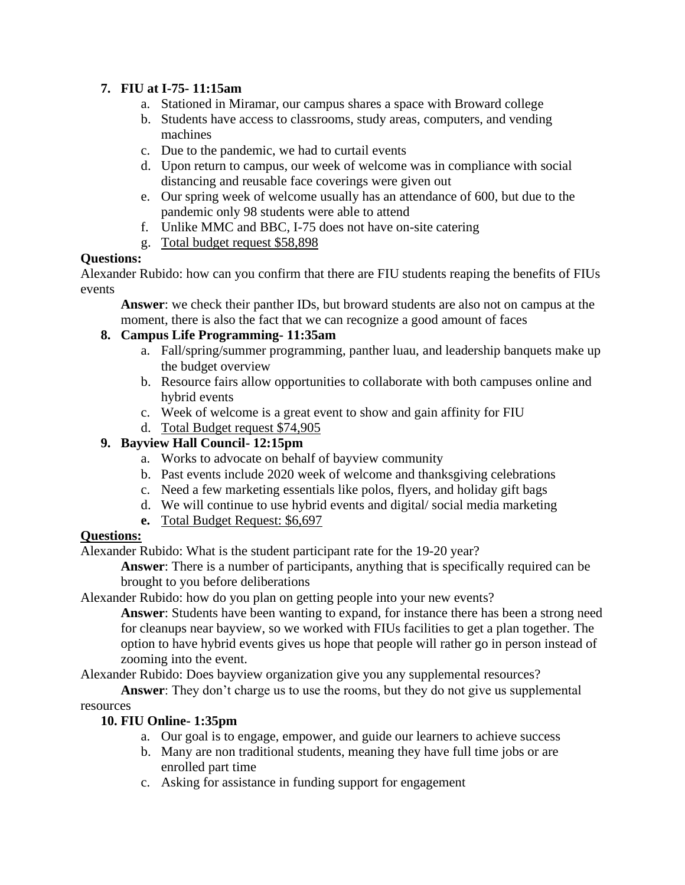# **7. FIU at I-75- 11:15am**

- a. Stationed in Miramar, our campus shares a space with Broward college
- b. Students have access to classrooms, study areas, computers, and vending machines
- c. Due to the pandemic, we had to curtail events
- d. Upon return to campus, our week of welcome was in compliance with social distancing and reusable face coverings were given out
- e. Our spring week of welcome usually has an attendance of 600, but due to the pandemic only 98 students were able to attend
- f. Unlike MMC and BBC, I-75 does not have on-site catering
- g. Total budget request \$58,898

# **Questions:**

Alexander Rubido: how can you confirm that there are FIU students reaping the benefits of FIUs events

**Answer**: we check their panther IDs, but broward students are also not on campus at the moment, there is also the fact that we can recognize a good amount of faces

# **8. Campus Life Programming- 11:35am**

- a. Fall/spring/summer programming, panther luau, and leadership banquets make up the budget overview
- b. Resource fairs allow opportunities to collaborate with both campuses online and hybrid events
- c. Week of welcome is a great event to show and gain affinity for FIU
- d. Total Budget request \$74,905

# **9. Bayview Hall Council- 12:15pm**

- a. Works to advocate on behalf of bayview community
- b. Past events include 2020 week of welcome and thanksgiving celebrations
- c. Need a few marketing essentials like polos, flyers, and holiday gift bags
- d. We will continue to use hybrid events and digital/ social media marketing
- **e.** Total Budget Request: \$6,697

# **Questions:**

Alexander Rubido: What is the student participant rate for the 19-20 year?

**Answer**: There is a number of participants, anything that is specifically required can be brought to you before deliberations

Alexander Rubido: how do you plan on getting people into your new events?

**Answer**: Students have been wanting to expand, for instance there has been a strong need for cleanups near bayview, so we worked with FIUs facilities to get a plan together. The option to have hybrid events gives us hope that people will rather go in person instead of zooming into the event.

Alexander Rubido: Does bayview organization give you any supplemental resources?

**Answer**: They don't charge us to use the rooms, but they do not give us supplemental resources

# **10. FIU Online- 1:35pm**

- a. Our goal is to engage, empower, and guide our learners to achieve success
- b. Many are non traditional students, meaning they have full time jobs or are enrolled part time
- c. Asking for assistance in funding support for engagement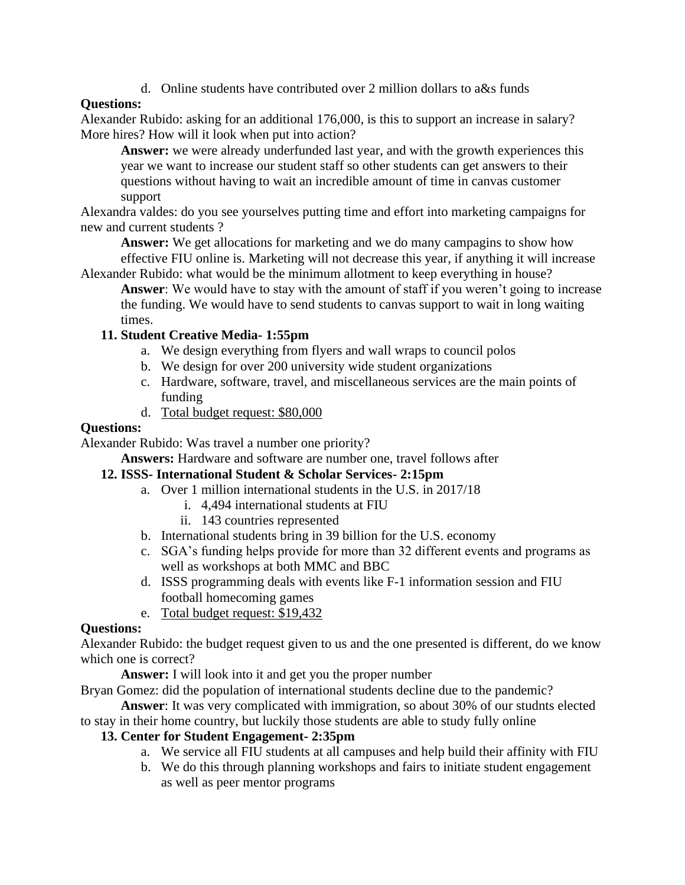d. Online students have contributed over 2 million dollars to a&s funds

# **Questions:**

Alexander Rubido: asking for an additional 176,000, is this to support an increase in salary? More hires? How will it look when put into action?

**Answer:** we were already underfunded last year, and with the growth experiences this year we want to increase our student staff so other students can get answers to their questions without having to wait an incredible amount of time in canvas customer support

Alexandra valdes: do you see yourselves putting time and effort into marketing campaigns for new and current students ?

**Answer:** We get allocations for marketing and we do many campagins to show how effective FIU online is. Marketing will not decrease this year, if anything it will increase

Alexander Rubido: what would be the minimum allotment to keep everything in house?

**Answer**: We would have to stay with the amount of staff if you weren't going to increase the funding. We would have to send students to canvas support to wait in long waiting times.

# **11. Student Creative Media- 1:55pm**

- a. We design everything from flyers and wall wraps to council polos
- b. We design for over 200 university wide student organizations
- c. Hardware, software, travel, and miscellaneous services are the main points of funding
- d. Total budget request: \$80,000

# **Questions:**

Alexander Rubido: Was travel a number one priority?

# **Answers:** Hardware and software are number one, travel follows after

# **12. ISSS- International Student & Scholar Services- 2:15pm**

- a. Over 1 million international students in the U.S. in 2017/18
	- i. 4,494 international students at FIU
	- ii. 143 countries represented
- b. International students bring in 39 billion for the U.S. economy
- c. SGA's funding helps provide for more than 32 different events and programs as well as workshops at both MMC and BBC
- d. ISSS programming deals with events like F-1 information session and FIU football homecoming games
- e. Total budget request: \$19,432

# **Questions:**

Alexander Rubido: the budget request given to us and the one presented is different, do we know which one is correct?

**Answer:** I will look into it and get you the proper number

Bryan Gomez: did the population of international students decline due to the pandemic?

**Answer**: It was very complicated with immigration, so about 30% of our studnts elected

# to stay in their home country, but luckily those students are able to study fully online

# **13. Center for Student Engagement- 2:35pm**

- a. We service all FIU students at all campuses and help build their affinity with FIU
- b. We do this through planning workshops and fairs to initiate student engagement as well as peer mentor programs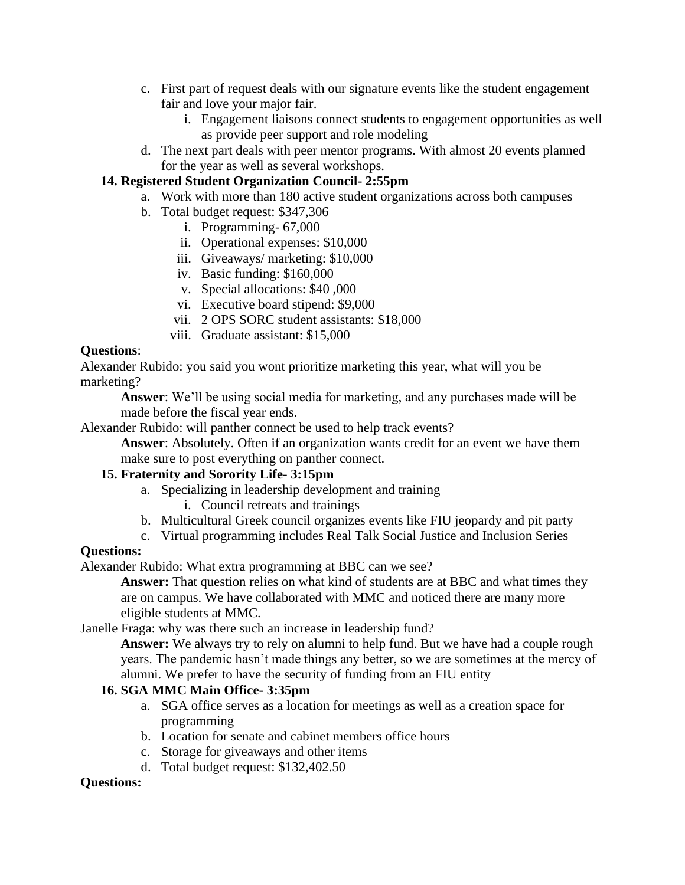- c. First part of request deals with our signature events like the student engagement fair and love your major fair.
	- i. Engagement liaisons connect students to engagement opportunities as well as provide peer support and role modeling
- d. The next part deals with peer mentor programs. With almost 20 events planned for the year as well as several workshops.

# **14. Registered Student Organization Council- 2:55pm**

- a. Work with more than 180 active student organizations across both campuses
- b. Total budget request: \$347,306
	- i. Programming- 67,000
	- ii. Operational expenses: \$10,000
	- iii. Giveaways/ marketing: \$10,000
	- iv. Basic funding: \$160,000
	- v. Special allocations: \$40 ,000
	- vi. Executive board stipend: \$9,000
	- vii. 2 OPS SORC student assistants: \$18,000
	- viii. Graduate assistant: \$15,000

# **Questions**:

Alexander Rubido: you said you wont prioritize marketing this year, what will you be marketing?

**Answer**: We'll be using social media for marketing, and any purchases made will be made before the fiscal year ends.

Alexander Rubido: will panther connect be used to help track events?

**Answer**: Absolutely. Often if an organization wants credit for an event we have them make sure to post everything on panther connect.

# **15. Fraternity and Sorority Life- 3:15pm**

- a. Specializing in leadership development and training
	- i. Council retreats and trainings
- b. Multicultural Greek council organizes events like FIU jeopardy and pit party
- c. Virtual programming includes Real Talk Social Justice and Inclusion Series

# **Questions:**

Alexander Rubido: What extra programming at BBC can we see?

**Answer:** That question relies on what kind of students are at BBC and what times they are on campus. We have collaborated with MMC and noticed there are many more eligible students at MMC.

Janelle Fraga: why was there such an increase in leadership fund?

**Answer:** We always try to rely on alumni to help fund. But we have had a couple rough years. The pandemic hasn't made things any better, so we are sometimes at the mercy of alumni. We prefer to have the security of funding from an FIU entity

# **16. SGA MMC Main Office- 3:35pm**

- a. SGA office serves as a location for meetings as well as a creation space for programming
- b. Location for senate and cabinet members office hours
- c. Storage for giveaways and other items
- d. Total budget request: \$132,402.50

# **Questions:**